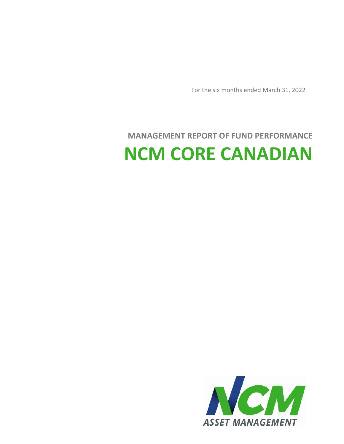

# **MANAGEMENT REPORT OF FUND PERFORMANCE NCM CORE CANADIAN**

For the six months ended March 31, 2022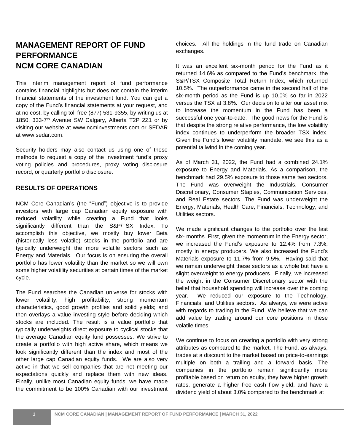### **MANAGEMENT REPORT OF FUND PERFORMANCE NCM CORE CANADIAN**

This interim management report of fund performance contains financial highlights but does not contain the interim financial statements of the investment fund. You can get a copy of the Fund's financial statements at your request, and at no cost, by calling toll free (877) 531-9355, by writing us at 1850, 333-7 th Avenue SW Calgary, Alberta T2P 2Z1 or by visiting our website at www.ncminvestments.com or SEDAR at www.sedar.com.

Security holders may also contact us using one of these methods to request a copy of the investment fund's proxy voting policies and procedures, proxy voting disclosure record, or quarterly portfolio disclosure.

#### **RESULTS OF OPERATIONS**

NCM Core Canadian's (the "Fund") objective is to provide investors with large cap Canadian equity exposure with reduced volatility while creating a Fund that looks significantly different than the S&P/TSX Index. To accomplish this objective, we mostly buy lower Beta (historically less volatile) stocks in the portfolio and are typically underweight the more volatile sectors such as Energy and Materials. Our focus is on ensuring the overall portfolio has lower volatility than the market so we will own some higher volatility securities at certain times of the market cycle.

The Fund searches the Canadian universe for stocks with lower volatility, high profitability, strong momentum characteristics, good growth profiles and solid yields; and then overlays a value investing style before deciding which stocks are included. The result is a value portfolio that typically underweights direct exposure to cyclical stocks that the average Canadian equity fund possesses. We strive to create a portfolio with high active share, which means we look significantly different than the index and most of the other large cap Canadian equity funds. We are also very active in that we sell companies that are not meeting our expectations quickly and replace them with new ideas. Finally, unlike most Canadian equity funds, we have made the commitment to be 100% Canadian with our investment choices. All the holdings in the fund trade on Canadian exchanges.

It was an excellent six-month period for the Fund as it returned 14.6% as compared to the Fund's benchmark, the S&P/TSX Composite Total Return Index, which returned 10.5%. The outperformance came in the second half of the six-month period as the Fund is up 10.0% so far in 2022 versus the TSX at 3.8%. Our decision to alter our asset mix to increase the momentum in the Fund has been a successful one year-to-date. The good news for the Fund is that despite the strong relative performance, the low volatility index continues to underperform the broader TSX index. Given the Fund's lower volatility mandate, we see this as a potential tailwind in the coming year.

As of March 31, 2022, the Fund had a combined 24.1% exposure to Energy and Materials. As a comparison, the benchmark had 29.5% exposure to those same two sectors. The Fund was overweight the Industrials, Consumer Discretionary, Consumer Staples, Communication Services, and Real Estate sectors. The Fund was underweight the Energy, Materials, Health Care, Financials, Technology, and Utilities sectors.

We made significant changes to the portfolio over the last six- months. First, given the momentum in the Energy sector, we increased the Fund's exposure to 12.4% from 7.3%, mostly in energy producers. We also increased the Fund's Materials exposure to 11.7% from 9.5%. Having said that we remain underweight these sectors as a whole but have a slight overweight to energy producers. Finally, we increased the weight in the Consumer Discretionary sector with the belief that household spending will increase over the coming year. We reduced our exposure to the Technology, Financials, and Utilities sectors. As always, we were active with regards to trading in the Fund. We believe that we can add value by trading around our core positions in these volatile times.

We continue to focus on creating a portfolio with very strong attributes as compared to the market. The Fund, as always, trades at a discount to the market based on price-to-earnings multiple on both a trailing and a forward basis. The companies in the portfolio remain significantly more profitable based on return on equity, they have higher growth rates, generate a higher free cash flow yield, and have a dividend yield of about 3.0% compared to the benchmark at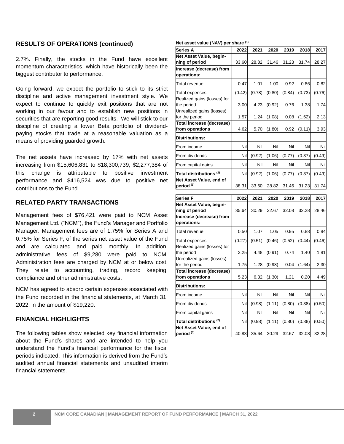#### **RESULTS OF OPERATIONS (continued)**

2.7%. Finally, the stocks in the Fund have excellent momentum characteristics, which have historically been the biggest contributor to performance.

Going forward, we expect the portfolio to stick to its strict discipline and active management investment style. We expect to continue to quickly exit positions that are not working in our favour and to establish new positions in securities that are reporting good results. We will stick to our discipline of creating a lower Beta portfolio of dividendpaying stocks that trade at a reasonable valuation as a means of providing guarded growth.

The net assets have increased by 17% with net assets increasing from \$15,606,831 to \$18,300,739, \$2,277,384 of this change is attributable to positive investment performance and \$416,524 was due to positive net contributions to the Fund.

#### **RELATED PARTY TRANSACTIONS**

Management fees of \$76,421 were paid to NCM Asset Management Ltd. ("NCM"), the Fund's Manager and Portfolio Manager. Management fees are of 1.75% for Series A and 0.75% for Series F, of the series net asset value of the Fund and are calculated and paid monthly. In addition, administrative fees of \$9,280 were paid to NCM. Administration fees are charged by NCM at or below cost. They relate to accounting, trading, record keeping, compliance and other administrative costs.

NCM has agreed to absorb certain expenses associated with the Fund recorded in the financial statements, at March 31, 2022, in the amount of \$19,220.

#### **FINANCIAL HIGHLIGHTS**

The following tables show selected key financial information about the Fund's shares and are intended to help you understand the Fund's financial performance for the fiscal periods indicated. This information is derived from the Fund's audited annual financial statements and unaudited interim financial statements.

#### **Net asset value (NAV) per share (1)**

| <b>TOT QUODE TWIND (TIME)</b> por arithme    |        |        |        |        |        |        |
|----------------------------------------------|--------|--------|--------|--------|--------|--------|
| Series A                                     | 2022   | 2021   | 2020   | 2019   | 2018   | 2017   |
| Net Asset Value, begin-                      |        |        |        |        |        |        |
| ning of period                               | 33.60  | 28.82  | 31.46  | 31.23  | 31.74  | 28.27  |
| Increase (decrease) from                     |        |        |        |        |        |        |
| operations:                                  |        |        |        |        |        |        |
| Total revenue                                | 0.47   | 1.01   | 1.00   | 0.92   | 0.86   | 0.82   |
| Total expenses                               | (0.42) | (0.78) | (0.80) | (0.84) | (0.73) | (0.76) |
| Realized gains (losses) for<br>the period    | 3.00   | 4.23   | (0.92) | 0.76   | 1.38   | 1.74   |
| Unrealized gains (losses)<br>for the period  | 1.57   | 1.24   | (1.08) | 0.08   | (1.62) | 2.13   |
| Total increase (decrease)<br>from operations | 4.62   | 5.70   | (1.80) | 0.92   | (0.11) | 3.93   |
| <b>Distributions:</b>                        |        |        |        |        |        |        |
| From income                                  | Nil    | Nil    | Nil    | Nil    | Nil    | Nil    |
| From dividends                               | Nil    | (0.92) | (1.06) | (0.77) | (0.37) | (0.49) |
| From capital gains                           | Nil    | Nil    | Nil    | Nil    | Nil    | Nil    |
| Total distributions <sup>(2)</sup>           | Nil    | (0.92) | (1.06) | (0.77) | (0.37) | (0.49) |
| Net Asset Value, end of                      |        |        |        |        |        |        |
| period (3)                                   | 38.31  | 33.60  | 28.82  | 31.46  | 31.23  | 31.74  |
|                                              |        |        |        |        |        |        |
| <b>Series F</b>                              | 2022   | 2021   | 2020   |        | 2018   |        |
| Net Asset Value, begin-                      |        |        |        | 2019   |        | 2017   |
| ning of period                               | 35.64  | 30.29  | 32.67  | 32.08  | 32.28  | 28.46  |
| Increase (decrease) from<br>operations:      |        |        |        |        |        |        |
| Total revenue                                | 0.50   | 1.07   | 1.05   | 0.95   | 0.88   | 0.84   |
| Total expenses                               | (0.27) | (0.51) | (0.46) | (0.52) | (0.44) | (0.46) |
| Realized gains (losses) for                  |        |        |        |        |        |        |
| the period<br>Unrealized gains (losses)      | 3.25   | 4.48   | (0.91) | 0.74   | 1.40   | 1.81   |
| for the period                               | 1.75   | 1.28   | (0.98) | 0.04   | (1.64) | 2.30   |
| Total increase (decrease)                    |        |        |        |        |        |        |
| from operations                              | 5.23   | 6.32   | (1.30) | 1.21   | 0.20   | 4.49   |
| <b>Distributions:</b>                        |        |        |        |        |        |        |
| From income                                  | Nil    | Nil    | Nil    | Nil    | Nil    | Nil    |
| From dividends                               | Nil    | (0.98) | (1.11) | (0.80) | (0.38) | (0.50) |
| From capital gains                           | Nil    | Nil    | Nil    | Nil    | Nil    | Nil    |
| Total distributions <sup>(2)</sup>           | Nil    | (0.98) | (1.11) | (0.80) | (0.38) | (0.50) |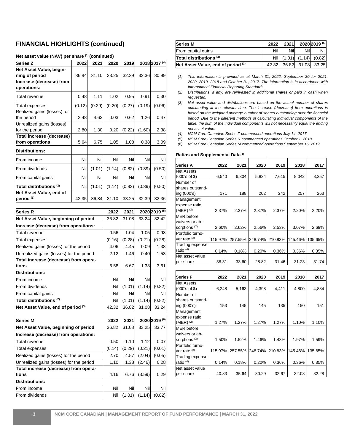#### **FINANCIAL HIGHLIGHTS (continued)**

| <b>Series Z</b>                                  | 2022   | 2021   | 2020   | 2019   |        | 2018 2017 (4) |
|--------------------------------------------------|--------|--------|--------|--------|--------|---------------|
| Net Asset Value, begin-                          |        |        |        |        |        |               |
| ning of period                                   | 36.84  | 31.10  | 33.25  | 32.39  | 32.36  | 30.99         |
| Increase (decrease) from<br>operations:          |        |        |        |        |        |               |
| Total revenue                                    | 0.48   | 1.11   | 1.02   | 0.95   | 0.91   | 0.30          |
| Total expenses                                   | (0.12) | (0.29) | (0.20) | (0.27) | (0.19) | (0.06)        |
| Realized gains (losses) for<br>the period        | 2.48   | 4.63   | 0.03   | 0.62   | 1.26   | 0.47          |
| Unrealized gains (losses)<br>for the period      | 2.80   | 1.30   | 0.20   | (0.22) | (1.60) | 2.38          |
| Total increase (decrease)                        |        |        |        |        |        |               |
| from operations                                  | 5.64   | 6.75   | 1.05   | 1.08   | 0.38   | 3.09          |
| Distributions:                                   |        |        |        |        |        |               |
| From income                                      | Nil    | Nil    | Nil    | Nil    | Nil    | Nil           |
| From dividends                                   | Nil    | (1.01) | (1.14) | (0.82) | (0.39) | (0.50)        |
| From capital gains                               | Nil    | Nil    | Nil    | Nil    | Nil    | Nil           |
| Total distributions $^{(2)}$                     | Nil    | (1.01) | (1.14) | (0.82) | (0.39) | (0.50)        |
| Net Asset Value, end of<br>period <sup>(3)</sup> | 42.35  | 36.84  | 31.10  | 33.25  | 32.39  | 32.36         |

#### **Net asset value (NAV) per share (1) (continued)**

| <b>Series R</b>                          | 2022   | 2021   |        | 2020 2019 (5) |
|------------------------------------------|--------|--------|--------|---------------|
| Net Asset Value, beginning of period     | 36.82  | 31.08  | 33.24  | 32.42         |
| Increase (decrease) from operations:     |        |        |        |               |
| Total revenue                            | 0.56   | 1.04   | 1.05   | 0.98          |
| Total expenses                           | (0.16) | (0.28) | (0.21) | (0.28)        |
| Realized gains (losses) for the period   | 4.06   | 4.45   | 0.09   | 1.38          |
| Unrealized gains (losses) for the period | 2.12   | 1.46   | 0.40   | 1.53          |
| Total increase (decrease) from opera-    |        |        |        |               |
| tions                                    | 6.58   | 6.67   | 1.33   | 3.61          |
| <b>Distributions:</b>                    |        |        |        |               |
| From income                              | Nil    | Nil    | Nil    | Nil           |
| From dividends                           | Nil    | (1.01) | (1.14) | (0.82)        |
| From capital gains                       | Nil    | Nil    | Nil    | Nil           |
| Total distributions $^{(2)}$             | Nil    | (1.01) | (1.14) | (0.82)        |
| Net Asset Value, end of period (3)       | 42.32  | 36.82  | 31.08  | 33.24         |

| <b>Series M</b>                          | 2022   | 2021   |        | 2020 2019 (6) |
|------------------------------------------|--------|--------|--------|---------------|
| Net Asset Value, beginning of period     | 36.82  | 31.08  | 33.25  | 33.77         |
| Increase (decrease) from operations:     |        |        |        |               |
| Total revenue                            | 0.50   | 1.10   | 1.12   | 0.07          |
| Total expenses                           | (0.14) | (0.29) | (0.21) | (0.01)        |
| Realized gains (losses) for the period   | 2.70   | 4.57   | (2.04) | (0.05)        |
| Unrealized gains (losses) for the period | 1.10   | 1.38   | (2.46) | 0.28          |
| Total increase (decrease) from opera-    |        |        |        |               |
| tions                                    | 4.16   | 6.76   | (3.59) | 0.29          |
| <b>Distributions:</b>                    |        |        |        |               |
| From income                              | Nil    | Nil    | Nil    | Nil           |
| From dividends                           | Nil    | (1.01) | (1.14) | (0.82)        |

| <b>Series M</b>                    | 2022  | 2021   |     | 2020 2019 (6)     |
|------------------------------------|-------|--------|-----|-------------------|
| From capital gains                 | Nil   | Nil    | Nil | Nill              |
| Total distributions <sup>(2)</sup> | Nil   | (1.01) |     | $(1.14)$ $(0.82)$ |
| Net Asset Value, end of period (3) | 42.32 |        |     | 36.82 31.08 33.25 |

- *(1) This information is provided as at March 31, 2022, September 30 for 2021, 2020, 2019, 2018 and October 31, 2017. The information is in accordance with International Financial Reporting Standards.*
- *(2) Distributions, if any, are reinvested in additional shares or paid in cash when requested.*
- *(3) Net asset value and distributions are based on the actual number of shares outstanding at the relevant time. The increase (decrease) from operations is based on the weighted average number of shares outstanding over the financial period. Due to the different methods of calculating individual components of the table, the sum of the individual components will not necessarily equal the ending net asset value.*
- *(4) NCM Core Canadian Series Z commenced operations July 14, 2017.*
- *(5) NCM Core Canadian Series R commenced operations October 1, 2018.*
- *(6) NCM Core Canadian Series M commenced operations September 16, 2019.*

| Series A                     | 2022    | 2021    | 2020    | 2019    | 2018    | 2017    |
|------------------------------|---------|---------|---------|---------|---------|---------|
| <b>Net Assets</b>            |         |         |         |         |         |         |
| (000's of \$)                | 6,540   | 6,304   | 5,834   | 7,615   | 8,042   | 8,357   |
| Number of                    |         |         |         |         |         |         |
| shares outstand-             |         |         |         |         |         |         |
| ing (000's)                  | 171     | 188     | 202     | 242     | 257     | 263     |
| Management                   |         |         |         |         |         |         |
| expense ratio                |         |         |         |         |         |         |
| $(MER)$ <sup>(2)</sup>       | 2.37%   | 2.37%   | 2.37%   | 2.37%   | 2.20%   | 2.20%   |
| <b>MER</b> before            |         |         |         |         |         |         |
| waivers or ab-               |         |         |         |         |         |         |
| sorptions <sup>(2)</sup>     | 2.60%   | 2.62%   | 2.56%   | 2.53%   | 3.07%   | 2.69%   |
| Portfolio turno-             |         |         |         |         |         |         |
| ver rate (3)                 | 115.97% | 257.55% | 248.74% | 210.83% | 145.46% | 135.65% |
| Trading expense              |         |         |         |         |         |         |
| ratio <sup>(4)</sup>         | 0.14%   | 0.18%   | 0.20%   | 0.36%   | 0.36%   | 0.35%   |
| Net asset value              |         |         |         |         |         |         |
| per share                    | 38.31   | 33.60   | 28.82   | 31.46   | 31.23   | 31.74   |
|                              |         |         |         |         |         |         |
| <b>Series F</b>              | 2022    | 2021    | 2020    | 2019    | 2018    | 2017    |
| <b>Net Assets</b>            |         |         |         |         |         |         |
| (000's of \$)                | 6,248   | 5,163   | 4,398   | 4,411   | 4,800   | 4,884   |
| Number of                    |         |         |         |         |         |         |
| shares outstand-             |         |         |         |         |         |         |
| ing (000's)                  | 153     | 145     | 145     | 135     | 150     | 151     |
| Management                   |         |         |         |         |         |         |
| expense ratio                |         |         |         |         |         |         |
| $(MER)^{(2)}$                | 1.27%   | 1.27%   | 1.27%   | 1.27%   | 1.10%   | 1.10%   |
| <b>MER</b> before            |         |         |         |         |         |         |
| waivers or ab-               |         |         |         |         |         |         |
| sorptions <sup>(2)</sup>     | 1.50%   | 1.52%   | 1.46%   | 1.43%   | 1.97%   | 1.59%   |
| Portfolio turno-             |         |         |         |         |         |         |
| ver rate <sup>(3)</sup>      | 115.97% | 257.55% | 248.74% | 210.83% | 145.46% | 135.65% |
| Trading expense              |         |         |         |         |         |         |
| ratio <sup>(4)</sup>         | 0.14%   | 0.18%   | 0.20%   | 0.36%   | 0.36%   | 0.35%   |
|                              |         |         |         |         |         |         |
| Net asset value<br>per share | 40.83   | 35.64   | 30.29   | 32.67   | 32.08   | 32.28   |

#### **Ratios and Supplemental Data(1)**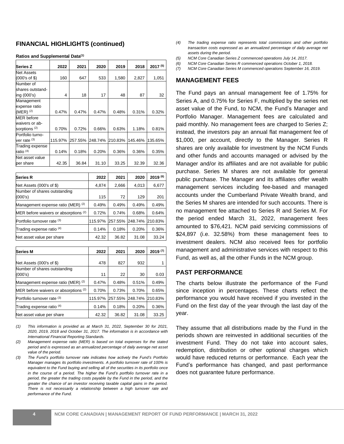#### **FINANCIAL HIGHLIGHTS (continued)**

| Series Z                 | 2022    | 2021    | 2020    | 2019    | 2018    | $2017^{(5)}$ |
|--------------------------|---------|---------|---------|---------|---------|--------------|
| <b>Net Assets</b>        |         |         |         |         |         |              |
| (000's of \$)            | 160     | 647     | 533     | 1,580   | 2,827   | 1,051        |
| Number of                |         |         |         |         |         |              |
| shares outstand-         |         |         |         |         |         |              |
| ing (000's)              | 4       | 18      | 17      | 48      | 87      | 32           |
| Management               |         |         |         |         |         |              |
| expense ratio            |         |         |         |         |         |              |
| (MER) $(2)$              | 0.47%   | 0.47%   | 0.47%   | 0.48%   | 0.31%   | 0.32%        |
| MER before               |         |         |         |         |         |              |
| waivers or ab-           |         |         |         |         |         |              |
| sorptions <sup>(2)</sup> | 0.70%   | 0.72%   | 0.66%   | 0.63%   | 1.18%   | 0.81%        |
| Portfolio turno-         |         |         |         |         |         |              |
| ver rate (3)             | 115.97% | 257.55% | 248.74% | 210.83% | 145.46% | 135.65%      |
| Trading expense          |         |         |         |         |         |              |
| ratio <sup>(4)</sup>     | 0.14%   | 0.18%   | 0.20%   | 0.36%   | 0.36%   | 0.35%        |
| Net asset value          |         |         |         |         |         |              |
| per share                | 42.35   | 36.84   | 31.10   | 33.25   | 32.39   | 32.36        |

**Ratios and Supplemental Data(1)**

| <b>Series R</b>                         | 2022    | 2021    | 2020    | 2019 (6) |
|-----------------------------------------|---------|---------|---------|----------|
| Net Assets (000's of \$)                | 4,874   | 2,666   | 4,013   | 6,677    |
| Number of shares outstanding<br>(000's) | 115     | 72      | 129     | 201      |
| Management expense ratio (MER) (2)      | 0.49%   | 0.49%   | 0.49%   | 0.49%    |
| MER before waivers or absorptions (2)   | 0.72%   | 0.74%   | 0.68%   | 0.64%    |
| Portfolio turnover rate (3)             | 115.97% | 257.55% | 248.74% | 210.83%  |
| Trading expense ratio (4)               | 0.14%   | 0.18%   | 0.20%   | 0.36%    |
| Net asset value per share               | 42.32   | 36.82   | 31.08   | 33.24    |

| <b>Series M</b>                       | 2022    | 2021    | 2020    | $2019^{(7)}$ |
|---------------------------------------|---------|---------|---------|--------------|
|                                       |         |         |         |              |
| Net Assets (000's of \$)              | 478     | 827     | 932     |              |
| Number of shares outstanding          |         |         |         |              |
| (000's)                               | 11      | 22      | 30      | 0.03         |
| Management expense ratio (MER) (2)    | 0.47%   | 0.48%   | 0.51%   | 0.49%        |
| MER before waivers or absorptions (2) | 0.70%   | 0.73%   | 0.70%   | 0.65%        |
| Portfolio turnover rate (3)           | 115.97% | 257.55% | 248.74% | 210.83%      |
| Trading expense ratio (4)             | 0.14%   | 0.18%   | 0.20%   | 0.36%        |
| Net asset value per share             | 42.32   | 36.82   | 31.08   | 33.25        |

*(1) This information is provided as at March 31, 2022, September 30 for 2021, 2020, 2019, 2018 and October 31, 2017. The information is in accordance with International Financial Reporting Standards.*

- *(2) Management expense ratio (MER) is based on total expenses for the stated period and is expressed as an annualized percentage of daily average net asset value of the period.*
- *(3) The Fund's portfolio turnover rate indicates how actively the Fund's Portfolio Manager manages its portfolio investments. A portfolio turnover rate of 100% is equivalent to the Fund buying and selling all of the securities in its portfolio once in the course of a period. The higher the Fund's portfolio turnover rate in a period, the greater the trading costs payable by the Fund in the period, and the greater the chance of an investor receiving taxable capital gains in the period. There is not necessarily a relationship between a high turnover rate and performance of the Fund.*
- *(4) The trading expense ratio represents total commissions and other portfolio transaction costs expressed as an annualized percentage of daily average net assets during the period.*
- *(5) NCM Core Canadian Series Z commenced operations July 14, 2017.*
- *(6) NCM Core Canadian Series R commenced operations October 1, 2018.*
- *(7) NCM Core Canadian Series M commenced operations September 16, 2019.*

#### **MANAGEMENT FEES**

The Fund pays an annual management fee of 1.75% for Series A, and 0.75% for Series F, multiplied by the series net asset value of the Fund, to NCM, the Fund's Manager and Portfolio Manager. Management fees are calculated and paid monthly. No management fees are charged to Series Z; instead, the investors pay an annual flat management fee of \$1,000, per account, directly to the Manager. Series R shares are only available for investment by the NCM Funds and other funds and accounts managed or advised by the Manager and/or its affiliates and are not available for public purchase. Series M shares are not available for general public purchase. The Manager and its affiliates offer wealth management services including fee-based and managed accounts under the Cumberland Private Wealth brand, and the Series M shares are intended for such accounts. There is no management fee attached to Series R and Series M. For the period ended March 31, 2022, management fees amounted to \$76,421. NCM paid servicing commissions of \$24,897 (i.e. 32.58%) from these management fees to investment dealers. NCM also received fees for portfolio management and administrative services with respect to this Fund, as well as, all the other Funds in the NCM group.

#### **PAST PERFORMANCE**

The charts below illustrate the performance of the Fund since inception in percentages. These charts reflect the performance you would have received if you invested in the Fund on the first day of the year through the last day of the year.

They assume that all distributions made by the Fund in the periods shown are reinvested in additional securities of the investment Fund. They do not take into account sales, redemption, distribution or other optional charges which would have reduced returns or performance. Each year the Fund's performance has changed, and past performance does not guarantee future performance.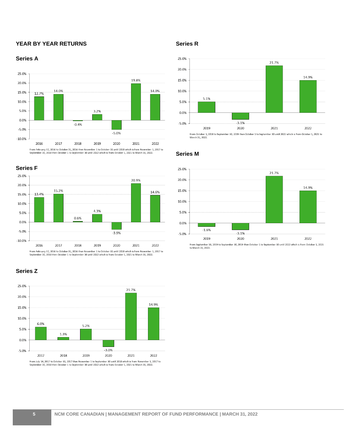#### **YEAR BY YEAR RETURNS**

#### **Series A**





From February 17, 2016 to October 31, 2016 then November 1 to October 31 until 2018 which is from November 1, 2017 to<br>September 30, 2018 then October 1 to September 30 until 2022 which is from October 1, 2021 to March 31,

#### **Series Z**



#### **Series R**



From October 1, 2018 to September 30, 2019 then October 1 to September 30 until 2022 which is from October 1, 2021 to<br>March 31, 2022.

#### **Series M**



From September 16, 2019 to September 30, 2019 then October 1 to September 30 until 2022 which is from October 1, 2021<br>to March 31, 2022.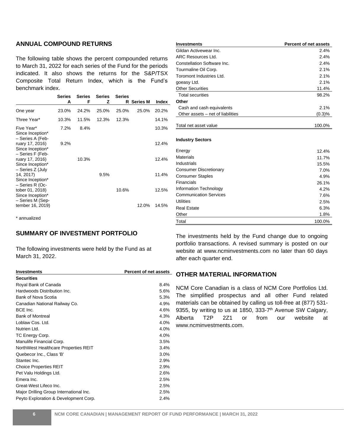#### **ANNUAL COMPOUND RETURNS**

The following table shows the percent compounded returns to March 31, 2022 for each series of the Fund for the periods indicated. It also shows the returns for the S&P/TSX Composite Total Return Index, which is the Fund's benchmark index.

|                                                         | <b>Series</b><br>Α | <b>Series</b><br>F | <b>Series</b><br>z | <b>Series</b><br>R | <b>Series M</b> | Index |
|---------------------------------------------------------|--------------------|--------------------|--------------------|--------------------|-----------------|-------|
|                                                         |                    |                    |                    |                    |                 |       |
| One year                                                | 23.0%              | 24.2%              | 25.0%              | 25.0%              | 25.0%           | 20.2% |
| Three Year*                                             | 10.3%              | 11.5%              | 12.3%              | 12.3%              |                 | 14.1% |
| Five Year*<br>Since Inception*<br>– Series A (Feb-      | 7.2%               | 8.4%               |                    |                    |                 | 10.3% |
| ruary 17, 2016)<br>Since Inception*<br>- Series F (Feb- | $9.2\%$            |                    |                    |                    |                 | 12.4% |
| ruary 17, 2016)<br>Since Inception*<br>- Series Z (July |                    | 10.3%              |                    |                    |                 | 12.4% |
| 14, 2017)<br>Since Inception*<br>- Series R (Oc-        |                    |                    | 9.5%               |                    |                 | 11.4% |
| tober 01, 2018)<br>Since Inception*<br>- Series M (Sep- |                    |                    |                    | 10.6%              |                 | 12.5% |
| tember 16, 2019)                                        |                    |                    |                    |                    | 12.0%           | 14.5% |

\* annualized

#### **SUMMARY OF INVESTMENT PORTFOLIO**

The following investments were held by the Fund as at March 31, 2022.

| <b>Investments</b>                      | <b>Percent of net assets</b> |
|-----------------------------------------|------------------------------|
| <b>Securities</b>                       |                              |
| Royal Bank of Canada                    | 8.4%                         |
| Hardwoods Distribution Inc.             | 5.6%                         |
| Bank of Nova Scotia                     | 5.3%                         |
| Canadian National Railway Co.           | 4.9%                         |
| BCE Inc.                                | 4.6%                         |
| <b>Bank of Montreal</b>                 | 4.3%                         |
| Loblaw Cos. Ltd.                        | 4.0%                         |
| Nutrien Ltd.                            | 4.0%                         |
| TC Energy Corp.                         | 4.0%                         |
| Manulife Financial Corp.                | 3.5%                         |
| NorthWest Healthcare Properties REIT    | 3.4%                         |
| Quebecor Inc., Class 'B'                | 3.0%                         |
| Stantec Inc.                            | 2.9%                         |
| <b>Choice Properties REIT</b>           | 2.9%                         |
| Pet Valu Holdings Ltd.                  | 2.6%                         |
| Emera Inc.                              | 2.5%                         |
| Great-West Lifeco Inc.                  | 2.5%                         |
| Major Drilling Group International Inc. | 2.5%                         |
| Peyto Exploration & Development Corp.   | 2.4%                         |

| <b>Investments</b>                | <b>Percent of net assets</b> |
|-----------------------------------|------------------------------|
| Gildan Activewear Inc.            | 2.4%                         |
| <b>ARC Resources Ltd.</b>         | 2.4%                         |
| Constellation Software Inc.       | 2.4%                         |
| Tourmaline Oil Corp.              | 2.1%                         |
| Toromont Industries Ltd.          | 2.1%                         |
| goeasy Ltd.                       | 2.1%                         |
| <b>Other Securities</b>           | 11.4%                        |
| <b>Total securities</b>           | 98.2%                        |
| Other                             |                              |
| Cash and cash equivalents         | 2.1%                         |
| Other assets – net of liabilities | (0.3)%                       |
|                                   |                              |
| Total net asset value             | 100.0%                       |
| <b>Industry Sectors</b>           |                              |
| Energy                            | 12.4%                        |
| <b>Materials</b>                  | 11.7%                        |
| Industrials                       | 15.5%                        |
| <b>Consumer Discretionary</b>     | 7.0%                         |
| <b>Consumer Staples</b>           | 4.9%                         |
| Financials                        | 26.1%                        |
| Information Technology            | 4.2%                         |
| <b>Communication Services</b>     | 7.6%                         |
| Utilities                         | 2.5%                         |
| <b>Real Estate</b>                | 6.3%                         |
| Other                             | 1.8%                         |
| Total                             | 100.0%                       |

The investments held by the Fund change due to ongoing portfolio transactions. A revised summary is posted on our website at www.ncminvestments.com no later than 60 days after each quarter end.

#### **OTHER MATERIAL INFORMATION**

NCM Core Canadian is a class of NCM Core Portfolios Ltd. The simplified prospectus and all other Fund related materials can be obtained by calling us toll-free at (877) 531- 9355, by writing to us at 1850, 333-7<sup>th</sup> Avenue SW Calgary, Alberta T2P 2Z1 or from our website at www.ncminvestments.com.